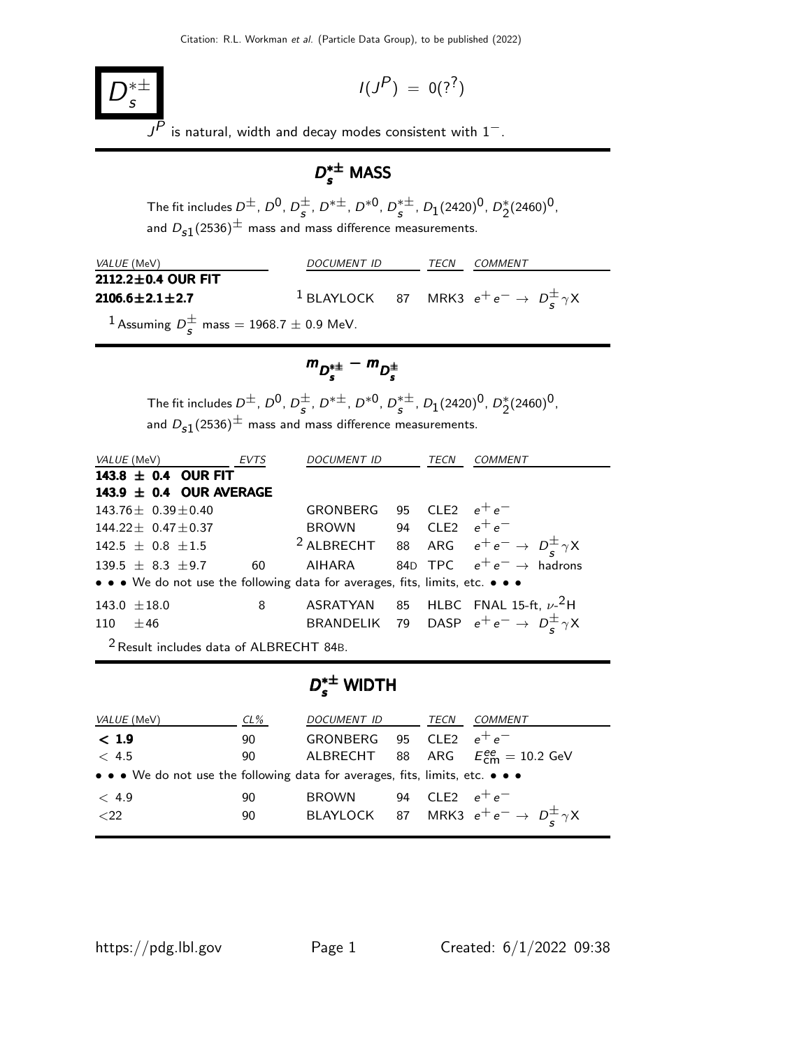$$
I(J^P) = 0(??)
$$

 $\overline{J^P}$  is natural, width and decay modes consistent with  $1^-$ .

# $D_s^{*\pm}$  MASS

The fit includes  $D^{\pm}$ ,  $D^0$ ,  $D^{\pm}$  $\frac{\pm}{s}$ , D<sup>\* $\pm$ </sup>, D<sup>\*0</sup>, D<sup>\* $\pm$ </sup>  $_s^{*\pm}$ ,  $D_1(2420)^0$ ,  $D_2^*(2460)^0$ , and  $D_{s1}(2536)^{\pm}$  mass and mass difference measurements.

| <i>VALUE</i> (MeV)                                             | DOCUMENT ID |  |  | <i>COMMENT</i>                                                        |
|----------------------------------------------------------------|-------------|--|--|-----------------------------------------------------------------------|
| 2112.2±0.4 OUR FIT                                             |             |  |  |                                                                       |
| $2106.6 \pm 2.1 \pm 2.7$                                       |             |  |  | <sup>1</sup> BLAYLOCK 87 MRK3 $e^+e^- \rightarrow D_s^{\pm} \gamma X$ |
| <sup>1</sup> Assuming $D_s^{\pm}$ mass = 1968.7 $\pm$ 0.9 MeV. |             |  |  |                                                                       |

$$
m_{D_s^{*\pm}} - m_{D_s^{\pm}}
$$

The fit includes  $D^{\pm}$ ,  $D^{0}$ ,  $D^{\pm}$  $\frac{\pm}{s}$ , D<sup>\* $\pm$ </sup>, D<sup>\*0</sup>, D<sup>\* $\pm$ </sup>  $_s^{*\pm}$ ,  $D_1(2420)^0$ ,  $D_2^*(2460)^0$ , and  $D_{s1}(2536)^{\pm}$  mass and mass difference measurements.

|            | VALUE (MeV) EVTS                                   |                |    | DOCUMENT ID                                                                   | TECN | COMMENT                                                              |
|------------|----------------------------------------------------|----------------|----|-------------------------------------------------------------------------------|------|----------------------------------------------------------------------|
|            | 143.8 $\pm$ 0.4 OUR FIT                            |                |    |                                                                               |      |                                                                      |
|            | 143.9 $\pm$ 0.4 OUR AVERAGE                        |                |    |                                                                               |      |                                                                      |
|            | $143.76 + 0.39 + 0.40$                             |                |    | GRONBERG 95 CLE2 $e^+e^-$                                                     |      |                                                                      |
|            | $144.22 + 0.47 + 0.37$                             |                |    | BROWN 94 CLE2 $e^+e^-$                                                        |      |                                                                      |
|            | $142.5 \pm 0.8 \pm 1.5$                            |                |    |                                                                               |      | <sup>2</sup> ALBRECHT 88 ARG $e^+e^- \rightarrow D_s^{\pm} \gamma X$ |
|            | $139.5 + 8.3 + 9.7$                                |                | 60 |                                                                               |      | AIHARA 84D TPC $e^+e^- \rightarrow$ hadrons                          |
|            |                                                    |                |    | • • • We do not use the following data for averages, fits, limits, etc. • • • |      |                                                                      |
|            | $143.0 \pm 18.0$                                   | 8 <sup>8</sup> |    |                                                                               |      | ASRATYAN 85 HLBC FNAL 15-ft, $\nu$ - $^2$ H                          |
| $110 + 46$ |                                                    |                |    |                                                                               |      | BRANDELIK 79 DASP $e^+e^- \rightarrow D^{\pm}_{\epsilon} \gamma X$   |
|            | <sup>2</sup> Result includes data of ALBRECHT 84B. |                |    |                                                                               |      |                                                                      |

# $D_{s}^{*\pm}$  WIDTH

| VALUE (MeV)                                                                   | $CL\%$ | DOCUMENT ID  | TECN             | <i>COMMENT</i>                                             |
|-------------------------------------------------------------------------------|--------|--------------|------------------|------------------------------------------------------------|
| < 1.9                                                                         | 90     | GRONBERG     | 95 CLE2 $e^+e^-$ |                                                            |
| < 4.5                                                                         | 90     |              |                  | ALBRECHT 88 ARG $E_{cm}^{ee} = 10.2$ GeV                   |
| • • • We do not use the following data for averages, fits, limits, etc. • • • |        |              |                  |                                                            |
| $\langle 4.9$                                                                 | 90     | <b>BROWN</b> | 94 CLE2 $e^+e^-$ |                                                            |
| ${<}22$                                                                       | 90     |              |                  | BLAYLOCK 87 MRK3 $e^+e^- \rightarrow D^{\pm}_{s} \gamma X$ |
|                                                                               |        |              |                  |                                                            |

 $\overline{D}$ ∗± s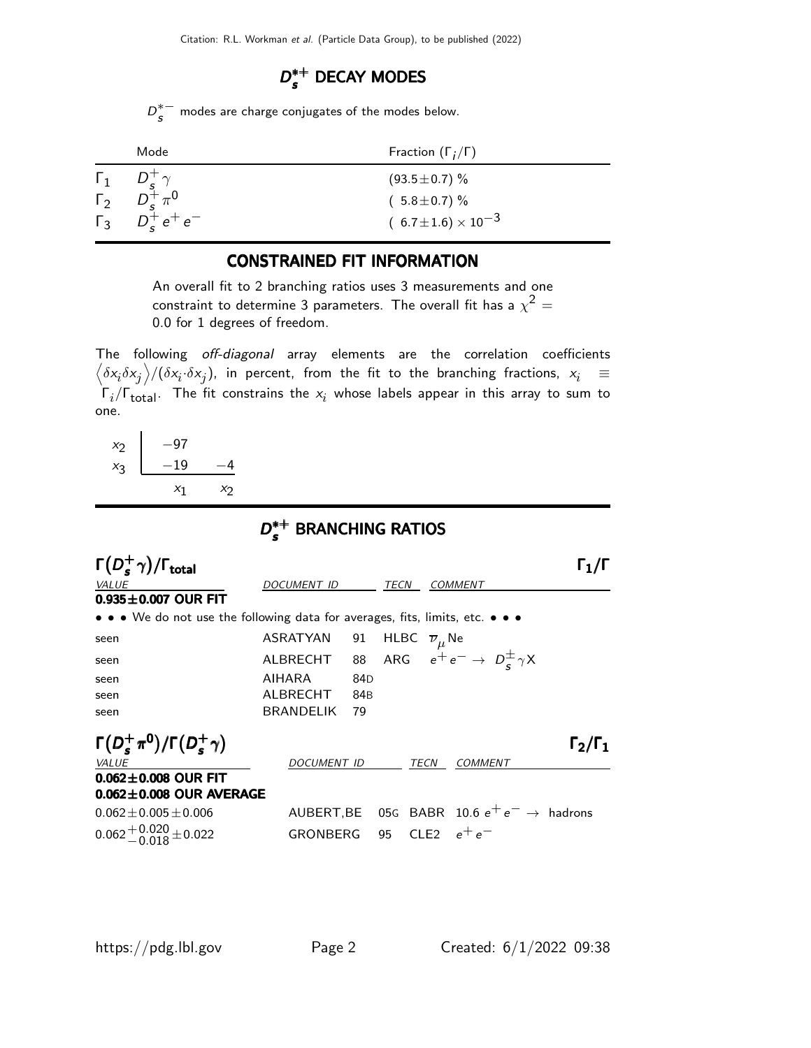# $D_s^{*+}$  DECAY MODES

 $D^*$ <sup>-</sup>  $\frac{s}{s}^{-}$  modes are charge conjugates of the modes below.

| Mode                                                                            | Fraction $(\Gamma_i/\Gamma)$   |
|---------------------------------------------------------------------------------|--------------------------------|
|                                                                                 | $(93.5 \pm 0.7)$ %             |
| $\begin{matrix} \Gamma_1 & D_s^+ \gamma \\ \Gamma_2 & D_s^+ \pi^0 \end{matrix}$ | $(5.8 \pm 0.7)\%$              |
| $\Gamma_3$ $D_5^+ e^+ e^-$                                                      | $(6.7 \pm 1.6) \times 10^{-3}$ |

### CONSTRAINED FIT INFORMATION

An overall fit to 2 branching ratios uses 3 measurements and one constraint to determine 3 parameters. The overall fit has a  $\chi^2 =$ 0.0 for 1 degrees of freedom.

The following off-diagonal array elements are the correlation coefficients  $\left<\delta x_i\delta x_j\right>$ / $(\delta x_i\cdot\delta x_j)$ , in percent, from the fit to the branching fractions,  $x_i$   $\;\equiv$  $\mathsf{\Gamma}_i/\mathsf{\Gamma}_{\mathsf{total}}$ . The fit constrains the  $\mathsf{x}_i$  whose labels appear in this array to sum to one.

| $x_2$ | -97   |    |
|-------|-------|----|
| $x_3$ | $-19$ |    |
|       | $x_1$ | X7 |

# $D_s^{*+}$  BRANCHING RATIOS

| $\Gamma(D_s^+\gamma)/\Gamma_{\rm total}$                                                                              |                                                                  |     |                                |      |                                                       |                     |
|-----------------------------------------------------------------------------------------------------------------------|------------------------------------------------------------------|-----|--------------------------------|------|-------------------------------------------------------|---------------------|
| <b>VALUE</b>                                                                                                          | DOCUMENT ID                                                      |     | TECN                           |      | <b>COMMENT</b>                                        |                     |
| $0.935 \pm 0.007$ OUR FIT                                                                                             |                                                                  |     |                                |      |                                                       |                     |
| $\bullet \bullet \bullet$ We do not use the following data for averages, fits, limits, etc. $\bullet \bullet \bullet$ |                                                                  |     |                                |      |                                                       |                     |
| seen                                                                                                                  | ASRATYAN                                                         | 91  | HLBC $\overline{\nu}_{\mu}$ Ne |      |                                                       |                     |
| seen                                                                                                                  | ALBRECHT 88 ARG $e^+e^- \rightarrow D^{\pm}_{\epsilon} \gamma X$ |     |                                |      |                                                       |                     |
| seen                                                                                                                  | AIHARA                                                           | 84D |                                |      |                                                       |                     |
| seen                                                                                                                  | ALBRECHT                                                         | 84B |                                |      |                                                       |                     |
| seen                                                                                                                  | <b>BRANDELIK</b>                                                 | 79  |                                |      |                                                       |                     |
| $\Gamma(D_s^+\pi^0)/\Gamma(D_s^+\gamma)$                                                                              |                                                                  |     |                                |      |                                                       | $\Gamma_2/\Gamma_1$ |
| <b>VALUE</b>                                                                                                          | DOCUMENT ID                                                      |     |                                | TECN | <b>COMMENT</b>                                        |                     |
| $0.062 \pm 0.008$ OUR FIT                                                                                             |                                                                  |     |                                |      |                                                       |                     |
| $0.062 \pm 0.008$ OUR AVERAGE                                                                                         |                                                                  |     |                                |      |                                                       |                     |
| $0.062 \pm 0.005 \pm 0.006$                                                                                           |                                                                  |     |                                |      | AUBERT, BE 05G BABR 10.6 $e^+e^- \rightarrow$ hadrons |                     |
| $0.062 + 0.020 + 0.022$                                                                                               | GRONBERG 95 CLE2                                                 |     |                                |      | $e^+e^-$                                              |                     |